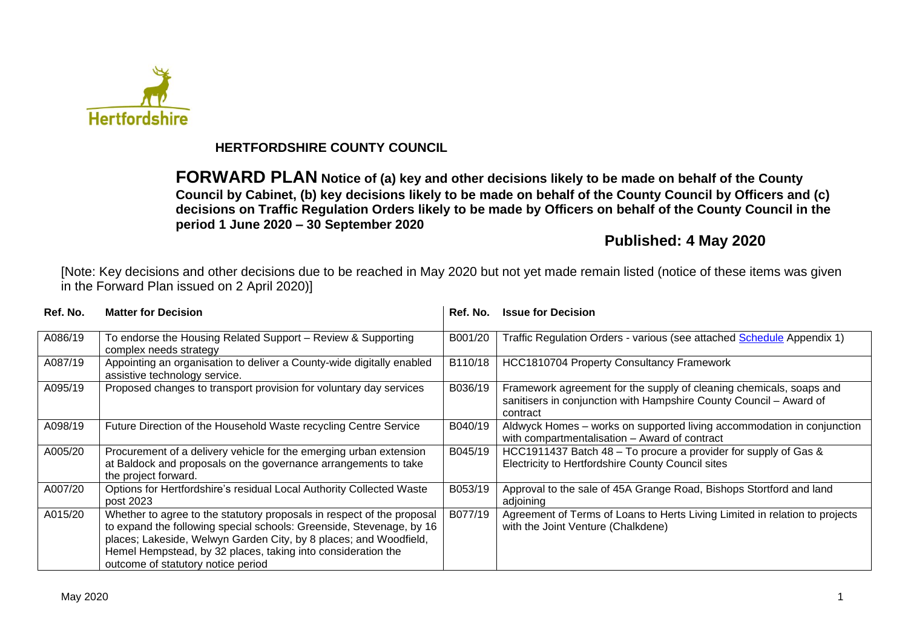

## **HERTFORDSHIRE COUNTY COUNCIL**

**FORWARD PLAN Notice of (a) key and other decisions likely to be made on behalf of the County Council by Cabinet, (b) key decisions likely to be made on behalf of the County Council by Officers and (c) decisions on Traffic Regulation Orders likely to be made by Officers on behalf of the County Council in the period 1 June 2020 – 30 September 2020**

# **Published: 4 May 2020**

[Note: Key decisions and other decisions due to be reached in May 2020 but not yet made remain listed (notice of these items was given in the Forward Plan issued on 2 April 2020)]

| Ref. No. | <b>Matter for Decision</b>                                                                                                                                                                                                                                                                                                | Ref. No. | <b>Issue for Decision</b>                                                                                                                             |
|----------|---------------------------------------------------------------------------------------------------------------------------------------------------------------------------------------------------------------------------------------------------------------------------------------------------------------------------|----------|-------------------------------------------------------------------------------------------------------------------------------------------------------|
| A086/19  | To endorse the Housing Related Support - Review & Supporting<br>complex needs strategy                                                                                                                                                                                                                                    | B001/20  | Traffic Regulation Orders - various (see attached Schedule Appendix 1)                                                                                |
| A087/19  | Appointing an organisation to deliver a County-wide digitally enabled<br>assistive technology service.                                                                                                                                                                                                                    | B110/18  | <b>HCC1810704 Property Consultancy Framework</b>                                                                                                      |
| A095/19  | Proposed changes to transport provision for voluntary day services                                                                                                                                                                                                                                                        | B036/19  | Framework agreement for the supply of cleaning chemicals, soaps and<br>sanitisers in conjunction with Hampshire County Council - Award of<br>contract |
| A098/19  | Future Direction of the Household Waste recycling Centre Service                                                                                                                                                                                                                                                          | B040/19  | Aldwyck Homes - works on supported living accommodation in conjunction<br>with compartmentalisation - Award of contract                               |
| A005/20  | Procurement of a delivery vehicle for the emerging urban extension<br>at Baldock and proposals on the governance arrangements to take<br>the project forward.                                                                                                                                                             | B045/19  | HCC1911437 Batch 48 – To procure a provider for supply of Gas &<br>Electricity to Hertfordshire County Council sites                                  |
| A007/20  | Options for Hertfordshire's residual Local Authority Collected Waste<br>post 2023                                                                                                                                                                                                                                         | B053/19  | Approval to the sale of 45A Grange Road, Bishops Stortford and land<br>adjoining                                                                      |
| A015/20  | Whether to agree to the statutory proposals in respect of the proposal<br>to expand the following special schools: Greenside, Stevenage, by 16<br>places; Lakeside, Welwyn Garden City, by 8 places; and Woodfield,<br>Hemel Hempstead, by 32 places, taking into consideration the<br>outcome of statutory notice period | B077/19  | Agreement of Terms of Loans to Herts Living Limited in relation to projects<br>with the Joint Venture (Chalkdene)                                     |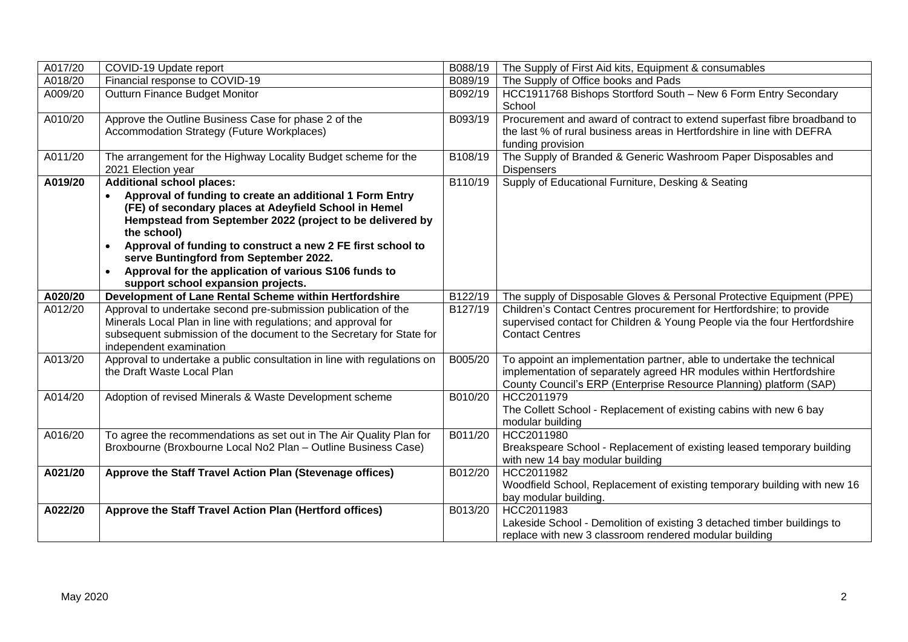| A017/20 | COVID-19 Update report                                                                                                                                                                                                                                                                                                                                                                                                                    | B088/19 | The Supply of First Aid kits, Equipment & consumables                                                                                                                                                              |
|---------|-------------------------------------------------------------------------------------------------------------------------------------------------------------------------------------------------------------------------------------------------------------------------------------------------------------------------------------------------------------------------------------------------------------------------------------------|---------|--------------------------------------------------------------------------------------------------------------------------------------------------------------------------------------------------------------------|
| A018/20 | Financial response to COVID-19                                                                                                                                                                                                                                                                                                                                                                                                            | B089/19 | The Supply of Office books and Pads                                                                                                                                                                                |
| A009/20 | Outturn Finance Budget Monitor                                                                                                                                                                                                                                                                                                                                                                                                            | B092/19 | HCC1911768 Bishops Stortford South - New 6 Form Entry Secondary<br>School                                                                                                                                          |
| A010/20 | Approve the Outline Business Case for phase 2 of the<br>Accommodation Strategy (Future Workplaces)                                                                                                                                                                                                                                                                                                                                        | B093/19 | Procurement and award of contract to extend superfast fibre broadband to<br>the last % of rural business areas in Hertfordshire in line with DEFRA<br>funding provision                                            |
| A011/20 | The arrangement for the Highway Locality Budget scheme for the<br>2021 Election year                                                                                                                                                                                                                                                                                                                                                      | B108/19 | The Supply of Branded & Generic Washroom Paper Disposables and<br><b>Dispensers</b>                                                                                                                                |
| A019/20 | <b>Additional school places:</b><br>Approval of funding to create an additional 1 Form Entry<br>(FE) of secondary places at Adeyfield School in Hemel<br>Hempstead from September 2022 (project to be delivered by<br>the school)<br>Approval of funding to construct a new 2 FE first school to<br>serve Buntingford from September 2022.<br>Approval for the application of various S106 funds to<br>support school expansion projects. | B110/19 | Supply of Educational Furniture, Desking & Seating                                                                                                                                                                 |
| A020/20 | Development of Lane Rental Scheme within Hertfordshire                                                                                                                                                                                                                                                                                                                                                                                    | B122/19 | The supply of Disposable Gloves & Personal Protective Equipment (PPE)                                                                                                                                              |
| A012/20 | Approval to undertake second pre-submission publication of the<br>Minerals Local Plan in line with regulations; and approval for<br>subsequent submission of the document to the Secretary for State for<br>independent examination                                                                                                                                                                                                       | B127/19 | Children's Contact Centres procurement for Hertfordshire; to provide<br>supervised contact for Children & Young People via the four Hertfordshire<br><b>Contact Centres</b>                                        |
| A013/20 | Approval to undertake a public consultation in line with regulations on<br>the Draft Waste Local Plan                                                                                                                                                                                                                                                                                                                                     | B005/20 | To appoint an implementation partner, able to undertake the technical<br>implementation of separately agreed HR modules within Hertfordshire<br>County Council's ERP (Enterprise Resource Planning) platform (SAP) |
| A014/20 | Adoption of revised Minerals & Waste Development scheme                                                                                                                                                                                                                                                                                                                                                                                   | B010/20 | HCC2011979<br>The Collett School - Replacement of existing cabins with new 6 bay<br>modular building                                                                                                               |
| A016/20 | To agree the recommendations as set out in The Air Quality Plan for<br>Broxbourne (Broxbourne Local No2 Plan - Outline Business Case)                                                                                                                                                                                                                                                                                                     | B011/20 | HCC2011980<br>Breakspeare School - Replacement of existing leased temporary building<br>with new 14 bay modular building                                                                                           |
| A021/20 | Approve the Staff Travel Action Plan (Stevenage offices)                                                                                                                                                                                                                                                                                                                                                                                  | B012/20 | HCC2011982<br>Woodfield School, Replacement of existing temporary building with new 16<br>bay modular building.                                                                                                    |
| A022/20 | Approve the Staff Travel Action Plan (Hertford offices)                                                                                                                                                                                                                                                                                                                                                                                   | B013/20 | HCC2011983<br>Lakeside School - Demolition of existing 3 detached timber buildings to<br>replace with new 3 classroom rendered modular building                                                                    |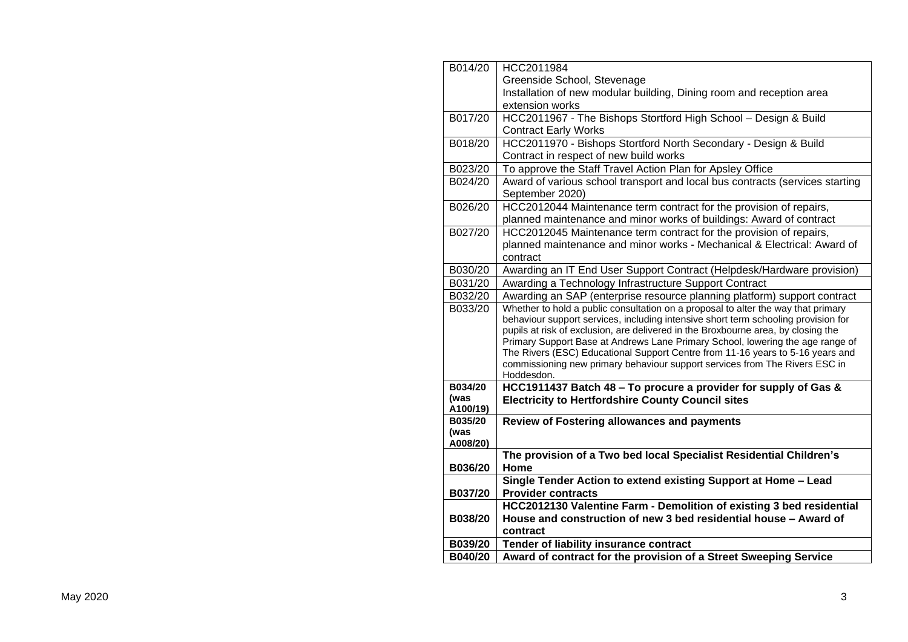| Greenside School, Stevenage<br>Installation of new modular building, Dining room and reception area<br>extension works<br>HCC2011967 - The Bishops Stortford High School - Design & Build<br>B017/20<br><b>Contract Early Works</b><br>HCC2011970 - Bishops Stortford North Secondary - Design & Build<br>B018/20<br>Contract in respect of new build works<br>B023/20<br>To approve the Staff Travel Action Plan for Apsley Office<br>Award of various school transport and local bus contracts (services starting<br>B024/20<br>September 2020)<br>B026/20<br>HCC2012044 Maintenance term contract for the provision of repairs,<br>planned maintenance and minor works of buildings: Award of contract<br>B027/20<br>HCC2012045 Maintenance term contract for the provision of repairs,<br>planned maintenance and minor works - Mechanical & Electrical: Award of<br>contract<br>B030/20<br>Awarding an IT End User Support Contract (Helpdesk/Hardware provision)<br>B031/20<br>Awarding a Technology Infrastructure Support Contract<br>B032/20<br>Awarding an SAP (enterprise resource planning platform) support contract |
|-----------------------------------------------------------------------------------------------------------------------------------------------------------------------------------------------------------------------------------------------------------------------------------------------------------------------------------------------------------------------------------------------------------------------------------------------------------------------------------------------------------------------------------------------------------------------------------------------------------------------------------------------------------------------------------------------------------------------------------------------------------------------------------------------------------------------------------------------------------------------------------------------------------------------------------------------------------------------------------------------------------------------------------------------------------------------------------------------------------------------------------|
|                                                                                                                                                                                                                                                                                                                                                                                                                                                                                                                                                                                                                                                                                                                                                                                                                                                                                                                                                                                                                                                                                                                                   |
|                                                                                                                                                                                                                                                                                                                                                                                                                                                                                                                                                                                                                                                                                                                                                                                                                                                                                                                                                                                                                                                                                                                                   |
|                                                                                                                                                                                                                                                                                                                                                                                                                                                                                                                                                                                                                                                                                                                                                                                                                                                                                                                                                                                                                                                                                                                                   |
|                                                                                                                                                                                                                                                                                                                                                                                                                                                                                                                                                                                                                                                                                                                                                                                                                                                                                                                                                                                                                                                                                                                                   |
|                                                                                                                                                                                                                                                                                                                                                                                                                                                                                                                                                                                                                                                                                                                                                                                                                                                                                                                                                                                                                                                                                                                                   |
|                                                                                                                                                                                                                                                                                                                                                                                                                                                                                                                                                                                                                                                                                                                                                                                                                                                                                                                                                                                                                                                                                                                                   |
|                                                                                                                                                                                                                                                                                                                                                                                                                                                                                                                                                                                                                                                                                                                                                                                                                                                                                                                                                                                                                                                                                                                                   |
|                                                                                                                                                                                                                                                                                                                                                                                                                                                                                                                                                                                                                                                                                                                                                                                                                                                                                                                                                                                                                                                                                                                                   |
|                                                                                                                                                                                                                                                                                                                                                                                                                                                                                                                                                                                                                                                                                                                                                                                                                                                                                                                                                                                                                                                                                                                                   |
|                                                                                                                                                                                                                                                                                                                                                                                                                                                                                                                                                                                                                                                                                                                                                                                                                                                                                                                                                                                                                                                                                                                                   |
|                                                                                                                                                                                                                                                                                                                                                                                                                                                                                                                                                                                                                                                                                                                                                                                                                                                                                                                                                                                                                                                                                                                                   |
|                                                                                                                                                                                                                                                                                                                                                                                                                                                                                                                                                                                                                                                                                                                                                                                                                                                                                                                                                                                                                                                                                                                                   |
|                                                                                                                                                                                                                                                                                                                                                                                                                                                                                                                                                                                                                                                                                                                                                                                                                                                                                                                                                                                                                                                                                                                                   |
|                                                                                                                                                                                                                                                                                                                                                                                                                                                                                                                                                                                                                                                                                                                                                                                                                                                                                                                                                                                                                                                                                                                                   |
|                                                                                                                                                                                                                                                                                                                                                                                                                                                                                                                                                                                                                                                                                                                                                                                                                                                                                                                                                                                                                                                                                                                                   |
|                                                                                                                                                                                                                                                                                                                                                                                                                                                                                                                                                                                                                                                                                                                                                                                                                                                                                                                                                                                                                                                                                                                                   |
|                                                                                                                                                                                                                                                                                                                                                                                                                                                                                                                                                                                                                                                                                                                                                                                                                                                                                                                                                                                                                                                                                                                                   |
|                                                                                                                                                                                                                                                                                                                                                                                                                                                                                                                                                                                                                                                                                                                                                                                                                                                                                                                                                                                                                                                                                                                                   |
| Whether to hold a public consultation on a proposal to alter the way that primary<br>B033/20                                                                                                                                                                                                                                                                                                                                                                                                                                                                                                                                                                                                                                                                                                                                                                                                                                                                                                                                                                                                                                      |
| behaviour support services, including intensive short term schooling provision for                                                                                                                                                                                                                                                                                                                                                                                                                                                                                                                                                                                                                                                                                                                                                                                                                                                                                                                                                                                                                                                |
| pupils at risk of exclusion, are delivered in the Broxbourne area, by closing the<br>Primary Support Base at Andrews Lane Primary School, lowering the age range of                                                                                                                                                                                                                                                                                                                                                                                                                                                                                                                                                                                                                                                                                                                                                                                                                                                                                                                                                               |
| The Rivers (ESC) Educational Support Centre from 11-16 years to 5-16 years and                                                                                                                                                                                                                                                                                                                                                                                                                                                                                                                                                                                                                                                                                                                                                                                                                                                                                                                                                                                                                                                    |
| commissioning new primary behaviour support services from The Rivers ESC in                                                                                                                                                                                                                                                                                                                                                                                                                                                                                                                                                                                                                                                                                                                                                                                                                                                                                                                                                                                                                                                       |
| Hoddesdon.                                                                                                                                                                                                                                                                                                                                                                                                                                                                                                                                                                                                                                                                                                                                                                                                                                                                                                                                                                                                                                                                                                                        |
| HCC1911437 Batch 48 - To procure a provider for supply of Gas &<br>B034/20                                                                                                                                                                                                                                                                                                                                                                                                                                                                                                                                                                                                                                                                                                                                                                                                                                                                                                                                                                                                                                                        |
| (was<br><b>Electricity to Hertfordshire County Council sites</b>                                                                                                                                                                                                                                                                                                                                                                                                                                                                                                                                                                                                                                                                                                                                                                                                                                                                                                                                                                                                                                                                  |
| A100/19)                                                                                                                                                                                                                                                                                                                                                                                                                                                                                                                                                                                                                                                                                                                                                                                                                                                                                                                                                                                                                                                                                                                          |
| B035/20<br><b>Review of Fostering allowances and payments</b><br>(was                                                                                                                                                                                                                                                                                                                                                                                                                                                                                                                                                                                                                                                                                                                                                                                                                                                                                                                                                                                                                                                             |
| A008/20)                                                                                                                                                                                                                                                                                                                                                                                                                                                                                                                                                                                                                                                                                                                                                                                                                                                                                                                                                                                                                                                                                                                          |
| The provision of a Two bed local Specialist Residential Children's                                                                                                                                                                                                                                                                                                                                                                                                                                                                                                                                                                                                                                                                                                                                                                                                                                                                                                                                                                                                                                                                |
| B036/20<br>Home                                                                                                                                                                                                                                                                                                                                                                                                                                                                                                                                                                                                                                                                                                                                                                                                                                                                                                                                                                                                                                                                                                                   |
| Single Tender Action to extend existing Support at Home - Lead                                                                                                                                                                                                                                                                                                                                                                                                                                                                                                                                                                                                                                                                                                                                                                                                                                                                                                                                                                                                                                                                    |
| B037/20<br><b>Provider contracts</b>                                                                                                                                                                                                                                                                                                                                                                                                                                                                                                                                                                                                                                                                                                                                                                                                                                                                                                                                                                                                                                                                                              |
| HCC2012130 Valentine Farm - Demolition of existing 3 bed residential                                                                                                                                                                                                                                                                                                                                                                                                                                                                                                                                                                                                                                                                                                                                                                                                                                                                                                                                                                                                                                                              |
| House and construction of new 3 bed residential house - Award of<br>B038/20                                                                                                                                                                                                                                                                                                                                                                                                                                                                                                                                                                                                                                                                                                                                                                                                                                                                                                                                                                                                                                                       |
| contract                                                                                                                                                                                                                                                                                                                                                                                                                                                                                                                                                                                                                                                                                                                                                                                                                                                                                                                                                                                                                                                                                                                          |
| B039/20<br>Tender of liability insurance contract                                                                                                                                                                                                                                                                                                                                                                                                                                                                                                                                                                                                                                                                                                                                                                                                                                                                                                                                                                                                                                                                                 |
| Award of contract for the provision of a Street Sweeping Service<br>B040/20                                                                                                                                                                                                                                                                                                                                                                                                                                                                                                                                                                                                                                                                                                                                                                                                                                                                                                                                                                                                                                                       |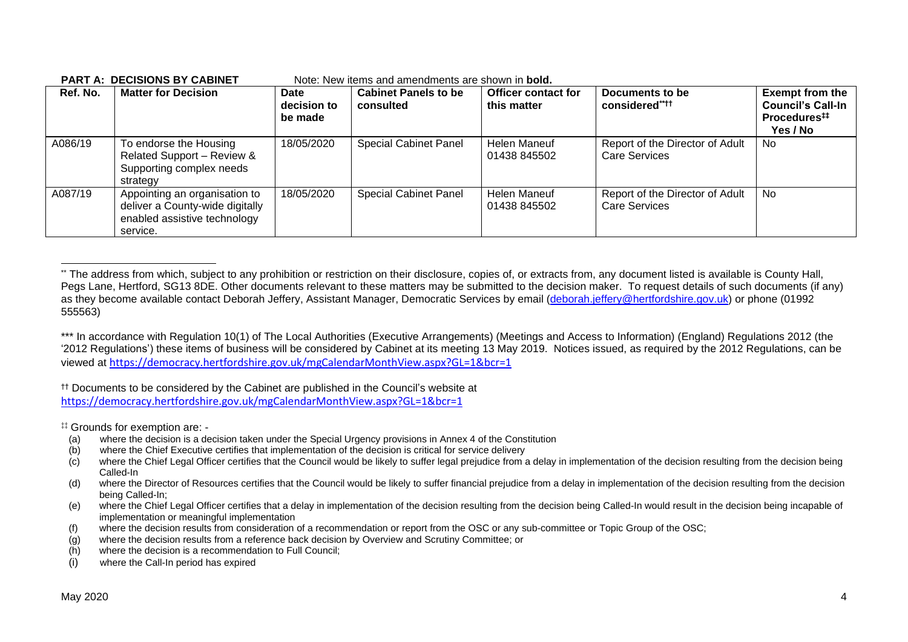| Ref. No. | <b>Matter for Decision</b>                                                                                   | Date<br>decision to<br>be made | <b>Cabinet Panels to be</b><br>consulted | <b>Officer contact for</b><br>this matter | Documents to be<br>considered****                       | <b>Exempt from the</b><br><b>Council's Call-In</b><br>Procedures <sup>#</sup><br>Yes / No |
|----------|--------------------------------------------------------------------------------------------------------------|--------------------------------|------------------------------------------|-------------------------------------------|---------------------------------------------------------|-------------------------------------------------------------------------------------------|
| A086/19  | To endorse the Housing<br>Related Support - Review &<br>Supporting complex needs<br>strategy                 | 18/05/2020                     | <b>Special Cabinet Panel</b>             | Helen Maneuf<br>01438 845502              | Report of the Director of Adult<br><b>Care Services</b> | No.                                                                                       |
| A087/19  | Appointing an organisation to<br>deliver a County-wide digitally<br>enabled assistive technology<br>service. | 18/05/2020                     | <b>Special Cabinet Panel</b>             | Helen Maneuf<br>01438 845502              | Report of the Director of Adult<br><b>Care Services</b> | No.                                                                                       |

#### **PART A: DECISIONS BY CABINET** Note: New items and amendments are shown in **bold.**

†† Documents to be considered by the Cabinet are published in the Council's website at <https://democracy.hertfordshire.gov.uk/mgCalendarMonthView.aspx?GL=1&bcr=1>

‡‡ Grounds for exemption are: -

- (a) where the decision is a decision taken under the Special Urgency provisions in Annex 4 of the Constitution
- (b) where the Chief Executive certifies that implementation of the decision is critical for service delivery
- (c) where the Chief Legal Officer certifies that the Council would be likely to suffer legal prejudice from a delay in implementation of the decision resulting from the decision being Called-In
- (d) where the Director of Resources certifies that the Council would be likely to suffer financial prejudice from a delay in implementation of the decision resulting from the decision being Called-In;
- (e) where the Chief Legal Officer certifies that a delay in implementation of the decision resulting from the decision being Called-In would result in the decision being incapable of implementation or meaningful implementation
- (f) where the decision results from consideration of a recommendation or report from the OSC or any sub-committee or Topic Group of the OSC;
- (g) where the decision results from a reference back decision by Overview and Scrutiny Committee; or
- (h) where the decision is a recommendation to Full Council;
- (i) where the Call-In period has expired

<sup>\*\*</sup> The address from which, subject to any prohibition or restriction on their disclosure, copies of, or extracts from, any document listed is available is County Hall, Pegs Lane, Hertford, SG13 8DE. Other documents relevant to these matters may be submitted to the decision maker. To request details of such documents (if any) as they become available contact Deborah Jeffery, Assistant Manager, Democratic Services by email [\(deborah.jeffery@hertfordshire.gov.uk\)](mailto:deborah.jeffery@hertfordshire.gov.uk) or phone (01992 555563)

<sup>\*\*\*</sup> In accordance with Regulation 10(1) of The Local Authorities (Executive Arrangements) (Meetings and Access to Information) (England) Regulations 2012 (the '2012 Regulations') these items of business will be considered by Cabinet at its meeting 13 May 2019. Notices issued, as required by the 2012 Regulations, can be viewed at <https://democracy.hertfordshire.gov.uk/mgCalendarMonthView.aspx?GL=1&bcr=1>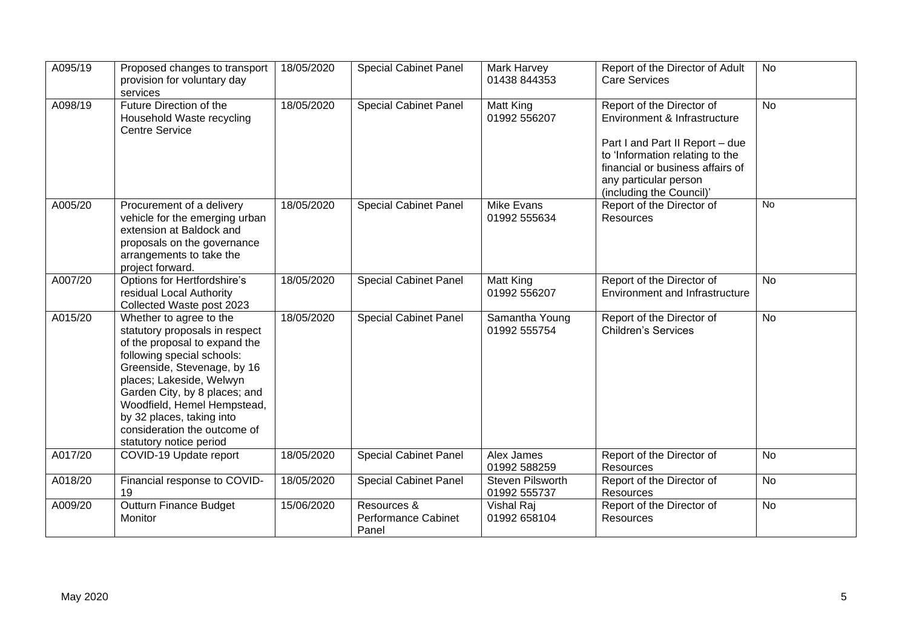| A095/19 | Proposed changes to transport<br>provision for voluntary day<br>services                                                                                                                                                                                                                                                                    | 18/05/2020 | <b>Special Cabinet Panel</b>                | Mark Harvey<br>01438 844353      | Report of the Director of Adult<br><b>Care Services</b>                                                                                                                                                                  | <b>No</b> |
|---------|---------------------------------------------------------------------------------------------------------------------------------------------------------------------------------------------------------------------------------------------------------------------------------------------------------------------------------------------|------------|---------------------------------------------|----------------------------------|--------------------------------------------------------------------------------------------------------------------------------------------------------------------------------------------------------------------------|-----------|
| A098/19 | Future Direction of the<br>Household Waste recycling<br><b>Centre Service</b>                                                                                                                                                                                                                                                               | 18/05/2020 | <b>Special Cabinet Panel</b>                | Matt King<br>01992 556207        | Report of the Director of<br>Environment & Infrastructure<br>Part I and Part II Report - due<br>to 'Information relating to the<br>financial or business affairs of<br>any particular person<br>(including the Council)' | <b>No</b> |
| A005/20 | Procurement of a delivery<br>vehicle for the emerging urban<br>extension at Baldock and<br>proposals on the governance<br>arrangements to take the<br>project forward.                                                                                                                                                                      | 18/05/2020 | <b>Special Cabinet Panel</b>                | Mike Evans<br>01992 555634       | Report of the Director of<br>Resources                                                                                                                                                                                   | No        |
| A007/20 | Options for Hertfordshire's<br>residual Local Authority<br>Collected Waste post 2023                                                                                                                                                                                                                                                        | 18/05/2020 | <b>Special Cabinet Panel</b>                | Matt King<br>01992 556207        | Report of the Director of<br><b>Environment and Infrastructure</b>                                                                                                                                                       | <b>No</b> |
| A015/20 | Whether to agree to the<br>statutory proposals in respect<br>of the proposal to expand the<br>following special schools:<br>Greenside, Stevenage, by 16<br>places; Lakeside, Welwyn<br>Garden City, by 8 places; and<br>Woodfield, Hemel Hempstead,<br>by 32 places, taking into<br>consideration the outcome of<br>statutory notice period | 18/05/2020 | <b>Special Cabinet Panel</b>                | Samantha Young<br>01992 555754   | Report of the Director of<br><b>Children's Services</b>                                                                                                                                                                  | <b>No</b> |
| A017/20 | COVID-19 Update report                                                                                                                                                                                                                                                                                                                      | 18/05/2020 | <b>Special Cabinet Panel</b>                | Alex James<br>01992 588259       | Report of the Director of<br>Resources                                                                                                                                                                                   | <b>No</b> |
| A018/20 | Financial response to COVID-<br>19                                                                                                                                                                                                                                                                                                          | 18/05/2020 | <b>Special Cabinet Panel</b>                | Steven Pilsworth<br>01992 555737 | Report of the Director of<br>Resources                                                                                                                                                                                   | No        |
| A009/20 | Outturn Finance Budget<br>Monitor                                                                                                                                                                                                                                                                                                           | 15/06/2020 | Resources &<br>Performance Cabinet<br>Panel | Vishal Raj<br>01992 658104       | Report of the Director of<br>Resources                                                                                                                                                                                   | <b>No</b> |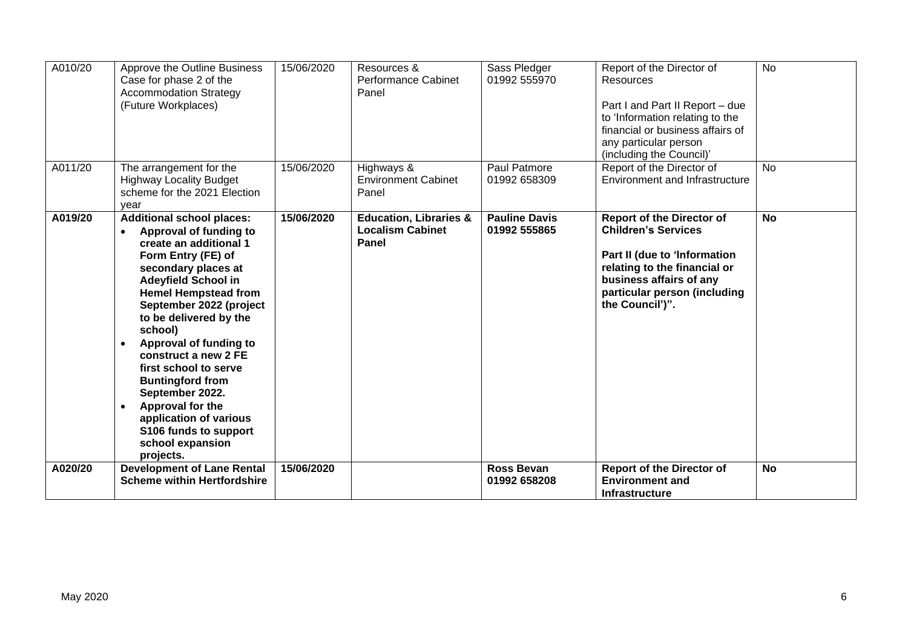| A010/20 | Approve the Outline Business<br>Case for phase 2 of the<br><b>Accommodation Strategy</b><br>(Future Workplaces)                                                                                                                                                                                                                                                                                                                                                                                              | 15/06/2020 | Resources &<br><b>Performance Cabinet</b><br>Panel                    | Sass Pledger<br>01992 555970         | Report of the Director of<br><b>Resources</b><br>Part I and Part II Report - due<br>to 'Information relating to the<br>financial or business affairs of<br>any particular person<br>(including the Council)' | <b>No</b> |
|---------|--------------------------------------------------------------------------------------------------------------------------------------------------------------------------------------------------------------------------------------------------------------------------------------------------------------------------------------------------------------------------------------------------------------------------------------------------------------------------------------------------------------|------------|-----------------------------------------------------------------------|--------------------------------------|--------------------------------------------------------------------------------------------------------------------------------------------------------------------------------------------------------------|-----------|
| A011/20 | The arrangement for the<br><b>Highway Locality Budget</b><br>scheme for the 2021 Election<br>vear                                                                                                                                                                                                                                                                                                                                                                                                            | 15/06/2020 | Highways &<br><b>Environment Cabinet</b><br>Panel                     | Paul Patmore<br>01992 658309         | Report of the Director of<br>Environment and Infrastructure                                                                                                                                                  | <b>No</b> |
| A019/20 | <b>Additional school places:</b><br>Approval of funding to<br>create an additional 1<br>Form Entry (FE) of<br>secondary places at<br><b>Adeyfield School in</b><br><b>Hemel Hempstead from</b><br>September 2022 (project<br>to be delivered by the<br>school)<br>Approval of funding to<br>$\bullet$<br>construct a new 2 FE<br>first school to serve<br><b>Buntingford from</b><br>September 2022.<br>Approval for the<br>application of various<br>S106 funds to support<br>school expansion<br>projects. | 15/06/2020 | <b>Education, Libraries &amp;</b><br><b>Localism Cabinet</b><br>Panel | <b>Pauline Davis</b><br>01992 555865 | <b>Report of the Director of</b><br><b>Children's Services</b><br>Part II (due to 'Information<br>relating to the financial or<br>business affairs of any<br>particular person (including<br>the Council')". | <b>No</b> |
| A020/20 | <b>Development of Lane Rental</b><br><b>Scheme within Hertfordshire</b>                                                                                                                                                                                                                                                                                                                                                                                                                                      | 15/06/2020 |                                                                       | <b>Ross Bevan</b><br>01992 658208    | <b>Report of the Director of</b><br><b>Environment and</b><br><b>Infrastructure</b>                                                                                                                          | <b>No</b> |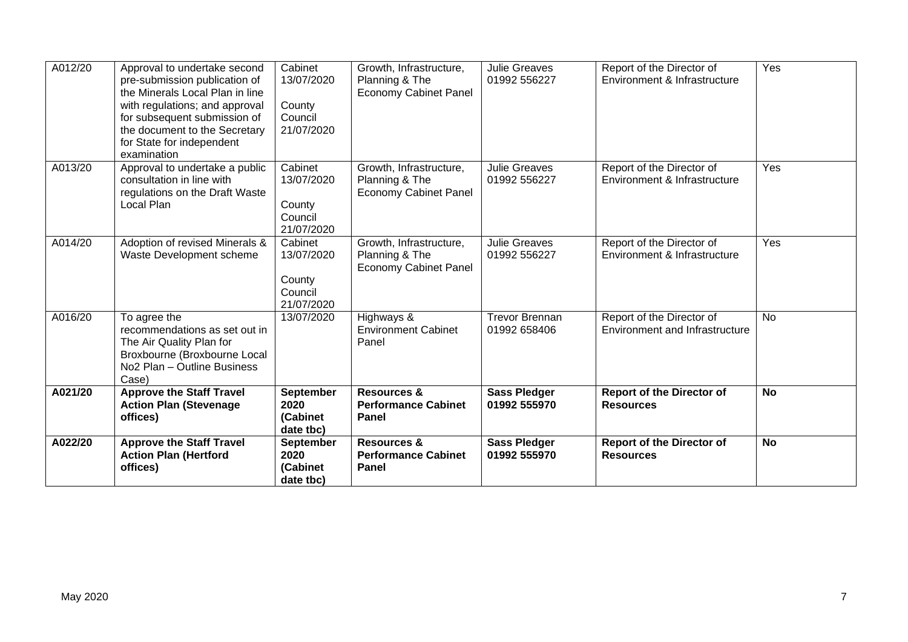| A022/20 | <b>Approve the Staff Travel</b><br><b>Action Plan (Hertford</b><br>offices)                                                                                                                                                                     | <b>September</b><br>2020<br>(Cabinet<br>date tbc)        | <b>Resources &amp;</b><br><b>Performance Cabinet</b><br><b>Panel</b>      | <b>Sass Pledger</b><br>01992 555970   | <b>Report of the Director of</b><br><b>Resources</b>               | <b>No</b> |
|---------|-------------------------------------------------------------------------------------------------------------------------------------------------------------------------------------------------------------------------------------------------|----------------------------------------------------------|---------------------------------------------------------------------------|---------------------------------------|--------------------------------------------------------------------|-----------|
| A021/20 | <b>Approve the Staff Travel</b><br><b>Action Plan (Stevenage</b><br>offices)                                                                                                                                                                    | <b>September</b><br>2020<br>(Cabinet<br>date tbc)        | <b>Resources &amp;</b><br><b>Performance Cabinet</b><br><b>Panel</b>      | <b>Sass Pledger</b><br>01992 555970   | <b>Report of the Director of</b><br><b>Resources</b>               | <b>No</b> |
| A016/20 | To agree the<br>recommendations as set out in<br>The Air Quality Plan for<br>Broxbourne (Broxbourne Local<br>No <sub>2</sub> Plan - Outline Business<br>Case)                                                                                   | 13/07/2020                                               | Highways &<br><b>Environment Cabinet</b><br>Panel                         | <b>Trevor Brennan</b><br>01992 658406 | Report of the Director of<br><b>Environment and Infrastructure</b> | <b>No</b> |
| A014/20 | Adoption of revised Minerals &<br>Waste Development scheme                                                                                                                                                                                      | Cabinet<br>13/07/2020<br>County<br>Council<br>21/07/2020 | Growth, Infrastructure,<br>Planning & The<br><b>Economy Cabinet Panel</b> | <b>Julie Greaves</b><br>01992 556227  | Report of the Director of<br>Environment & Infrastructure          | Yes       |
| A013/20 | Approval to undertake a public<br>consultation in line with<br>regulations on the Draft Waste<br>Local Plan                                                                                                                                     | Cabinet<br>13/07/2020<br>County<br>Council<br>21/07/2020 | Growth, Infrastructure,<br>Planning & The<br><b>Economy Cabinet Panel</b> | <b>Julie Greaves</b><br>01992 556227  | Report of the Director of<br>Environment & Infrastructure          | Yes       |
| A012/20 | Approval to undertake second<br>pre-submission publication of<br>the Minerals Local Plan in line<br>with regulations; and approval<br>for subsequent submission of<br>the document to the Secretary<br>for State for independent<br>examination | Cabinet<br>13/07/2020<br>County<br>Council<br>21/07/2020 | Growth, Infrastructure,<br>Planning & The<br><b>Economy Cabinet Panel</b> | <b>Julie Greaves</b><br>01992 556227  | Report of the Director of<br>Environment & Infrastructure          | Yes       |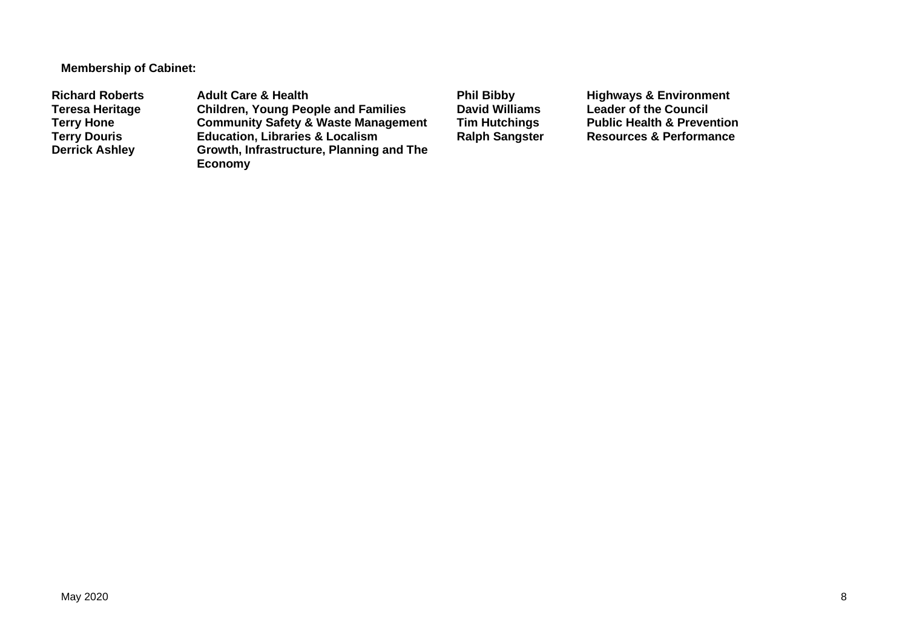**Membership of Cabinet:** 

Richard Roberts **Adult Care & Health** Phil Bibby Highways & Environment<br>
Teresa Heritage Children, Young People and Families David Williams Leader of the Council **Teresa Heritage Children, Young People and Families David Williams Leader of the Council Terry Hone Community Safety & Waste Management Tim Hutchings** Public Health & Prevention<br> **Terry Douris Education, Libraries & Localism** Ralph Sangster Resources & Performance **Terry Douris Education, Libraries & Localism <br>
Derrick Ashley <b>Ralphridge Growth, Infrastructure, Planning Growth, Infrastructure, Planning and The Economy**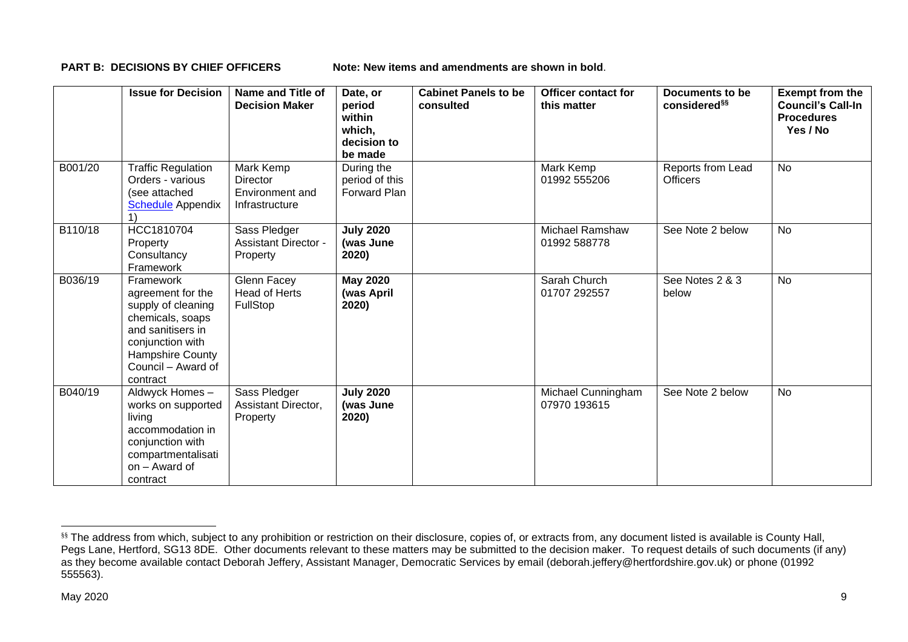**PART B: DECISIONS BY CHIEF OFFICERS** Note: New items and amendments are shown in bold.

|         | <b>Issue for Decision</b>                                                                                                                                               | Name and Title of<br><b>Decision Maker</b>                 | Date, or<br>period<br>within<br>which,<br>decision to<br>be made | <b>Cabinet Panels to be</b><br>consulted | <b>Officer contact for</b><br>this matter | Documents to be<br>considered <sup>§§</sup> | <b>Exempt from the</b><br><b>Council's Call-In</b><br><b>Procedures</b><br>Yes / No |
|---------|-------------------------------------------------------------------------------------------------------------------------------------------------------------------------|------------------------------------------------------------|------------------------------------------------------------------|------------------------------------------|-------------------------------------------|---------------------------------------------|-------------------------------------------------------------------------------------|
| B001/20 | <b>Traffic Regulation</b><br>Orders - various<br>(see attached<br><b>Schedule</b> Appendix                                                                              | Mark Kemp<br>Director<br>Environment and<br>Infrastructure | During the<br>period of this<br><b>Forward Plan</b>              |                                          | Mark Kemp<br>01992 555206                 | Reports from Lead<br><b>Officers</b>        | <b>No</b>                                                                           |
| B110/18 | HCC1810704<br>Property<br>Consultancy<br>Framework                                                                                                                      | Sass Pledger<br><b>Assistant Director -</b><br>Property    | <b>July 2020</b><br>(was June<br>2020)                           |                                          | <b>Michael Ramshaw</b><br>01992 588778    | See Note 2 below                            | No                                                                                  |
| B036/19 | Framework<br>agreement for the<br>supply of cleaning<br>chemicals, soaps<br>and sanitisers in<br>conjunction with<br>Hampshire County<br>Council – Award of<br>contract | Glenn Facey<br><b>Head of Herts</b><br>FullStop            | <b>May 2020</b><br>(was April<br>2020)                           |                                          | Sarah Church<br>01707 292557              | See Notes 2 & 3<br>below                    | <b>No</b>                                                                           |
| B040/19 | Aldwyck Homes-<br>works on supported<br>living<br>accommodation in<br>conjunction with<br>compartmentalisati<br>on - Award of<br>contract                               | Sass Pledger<br>Assistant Director,<br>Property            | <b>July 2020</b><br>(was June<br>2020)                           |                                          | Michael Cunningham<br>07970 193615        | See Note 2 below                            | <b>No</b>                                                                           |

<sup>&</sup>lt;sup>§§</sup> The address from which, subject to any prohibition or restriction on their disclosure, copies of, or extracts from, any document listed is available is County Hall, Pegs Lane, Hertford, SG13 8DE. Other documents relevant to these matters may be submitted to the decision maker. To request details of such documents (if any) as they become available contact Deborah Jeffery, Assistant Manager, Democratic Services by email (deborah.jeffery@hertfordshire.gov.uk) or phone (01992 555563).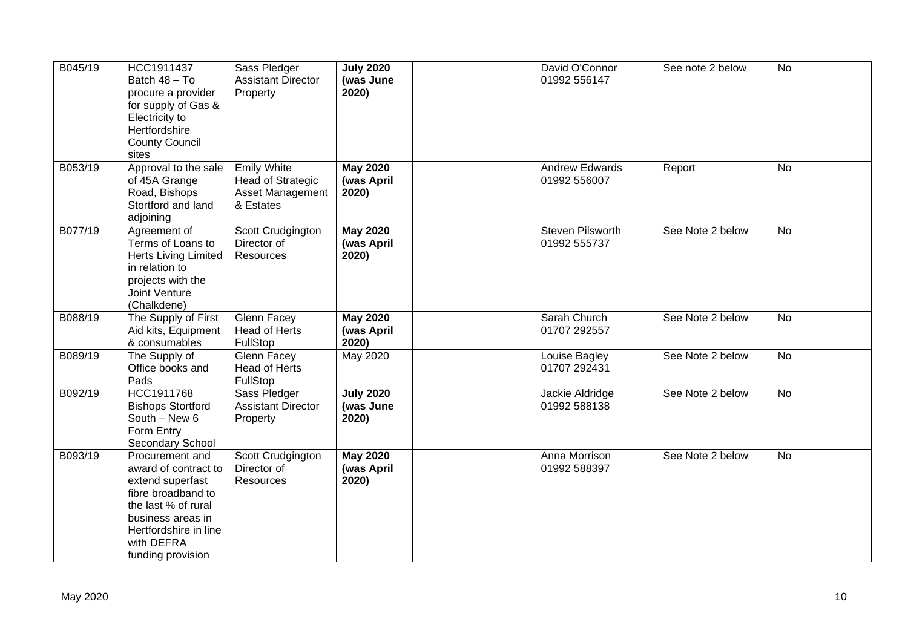| B045/19 | HCC1911437<br>Batch 48 - To<br>procure a provider<br>for supply of Gas &<br>Electricity to<br>Hertfordshire<br><b>County Council</b><br>sites                                             | Sass Pledger<br><b>Assistant Director</b><br>Property                           | <b>July 2020</b><br>(was June<br>2020) | David O'Connor<br>01992 556147          | See note 2 below | <b>No</b> |
|---------|-------------------------------------------------------------------------------------------------------------------------------------------------------------------------------------------|---------------------------------------------------------------------------------|----------------------------------------|-----------------------------------------|------------------|-----------|
| B053/19 | Approval to the sale<br>of 45A Grange<br>Road, Bishops<br>Stortford and land<br>adjoining                                                                                                 | <b>Emily White</b><br><b>Head of Strategic</b><br>Asset Management<br>& Estates | <b>May 2020</b><br>(was April<br>2020) | <b>Andrew Edwards</b><br>01992 556007   | Report           | No        |
| B077/19 | Agreement of<br>Terms of Loans to<br><b>Herts Living Limited</b><br>in relation to<br>projects with the<br>Joint Venture<br>(Chalkdene)                                                   | Scott Crudgington<br>Director of<br>Resources                                   | <b>May 2020</b><br>(was April<br>2020) | <b>Steven Pilsworth</b><br>01992 555737 | See Note 2 below | <b>No</b> |
| B088/19 | The Supply of First<br>Aid kits, Equipment<br>& consumables                                                                                                                               | Glenn Facey<br><b>Head of Herts</b><br>FullStop                                 | <b>May 2020</b><br>(was April<br>2020) | Sarah Church<br>01707 292557            | See Note 2 below | <b>No</b> |
| B089/19 | The Supply of<br>Office books and<br>Pads                                                                                                                                                 | Glenn Facey<br><b>Head of Herts</b><br>FullStop                                 | May 2020                               | Louise Bagley<br>01707 292431           | See Note 2 below | <b>No</b> |
| B092/19 | HCC1911768<br><b>Bishops Stortford</b><br>South - New 6<br>Form Entry<br>Secondary School                                                                                                 | Sass Pledger<br><b>Assistant Director</b><br>Property                           | <b>July 2020</b><br>(was June<br>2020) | Jackie Aldridge<br>01992 588138         | See Note 2 below | <b>No</b> |
| B093/19 | Procurement and<br>award of contract to<br>extend superfast<br>fibre broadband to<br>the last % of rural<br>business areas in<br>Hertfordshire in line<br>with DEFRA<br>funding provision | Scott Crudgington<br>Director of<br>Resources                                   | <b>May 2020</b><br>(was April<br>2020) | Anna Morrison<br>01992 588397           | See Note 2 below | <b>No</b> |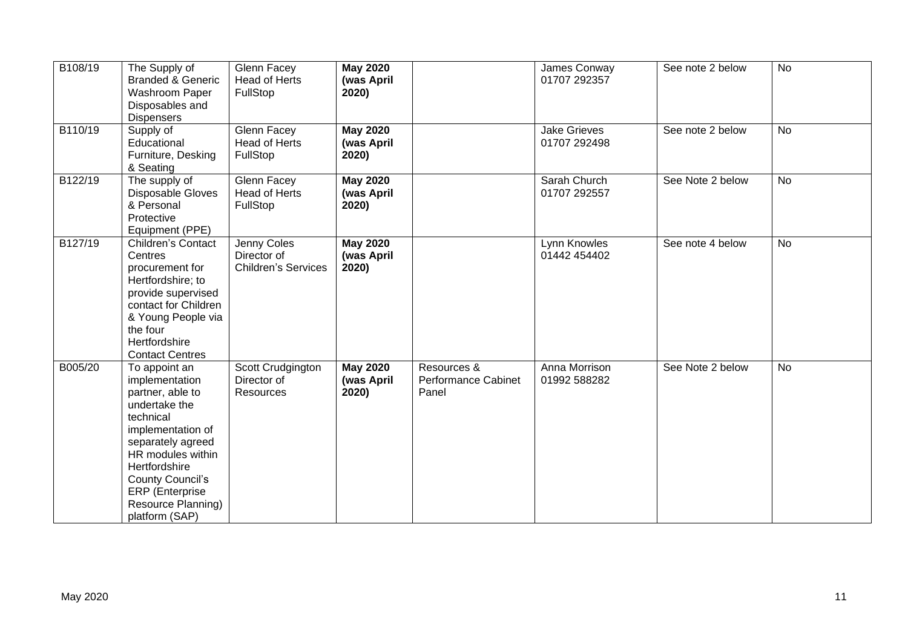| B108/19 | The Supply of<br><b>Branded &amp; Generic</b><br><b>Washroom Paper</b><br>Disposables and<br><b>Dispensers</b>                                                                                                                                          | Glenn Facey<br>Head of Herts<br>FullStop                 | <b>May 2020</b><br>(was April<br>2020) |                                                    | James Conway<br>01707 292357        | See note 2 below | <b>No</b> |  |
|---------|---------------------------------------------------------------------------------------------------------------------------------------------------------------------------------------------------------------------------------------------------------|----------------------------------------------------------|----------------------------------------|----------------------------------------------------|-------------------------------------|------------------|-----------|--|
| B110/19 | Supply of<br>Educational<br>Furniture, Desking<br>& Seating                                                                                                                                                                                             | <b>Glenn Facey</b><br>Head of Herts<br>FullStop          | <b>May 2020</b><br>(was April<br>2020) |                                                    | <b>Jake Grieves</b><br>01707 292498 | See note 2 below | <b>No</b> |  |
| B122/19 | The supply of<br>Disposable Gloves<br>& Personal<br>Protective<br>Equipment (PPE)                                                                                                                                                                       | Glenn Facey<br><b>Head of Herts</b><br>FullStop          | <b>May 2020</b><br>(was April<br>2020) |                                                    | Sarah Church<br>01707 292557        | See Note 2 below | <b>No</b> |  |
| B127/19 | <b>Children's Contact</b><br>Centres<br>procurement for<br>Hertfordshire; to<br>provide supervised<br>contact for Children<br>& Young People via<br>the four<br>Hertfordshire<br><b>Contact Centres</b>                                                 | Jenny Coles<br>Director of<br><b>Children's Services</b> | <b>May 2020</b><br>(was April<br>2020) |                                                    | Lynn Knowles<br>01442 454402        | See note 4 below | <b>No</b> |  |
| B005/20 | To appoint an<br>implementation<br>partner, able to<br>undertake the<br>technical<br>implementation of<br>separately agreed<br>HR modules within<br>Hertfordshire<br>County Council's<br><b>ERP</b> (Enterprise<br>Resource Planning)<br>platform (SAP) | Scott Crudgington<br>Director of<br>Resources            | <b>May 2020</b><br>(was April<br>2020) | Resources &<br><b>Performance Cabinet</b><br>Panel | Anna Morrison<br>01992 588282       | See Note 2 below | <b>No</b> |  |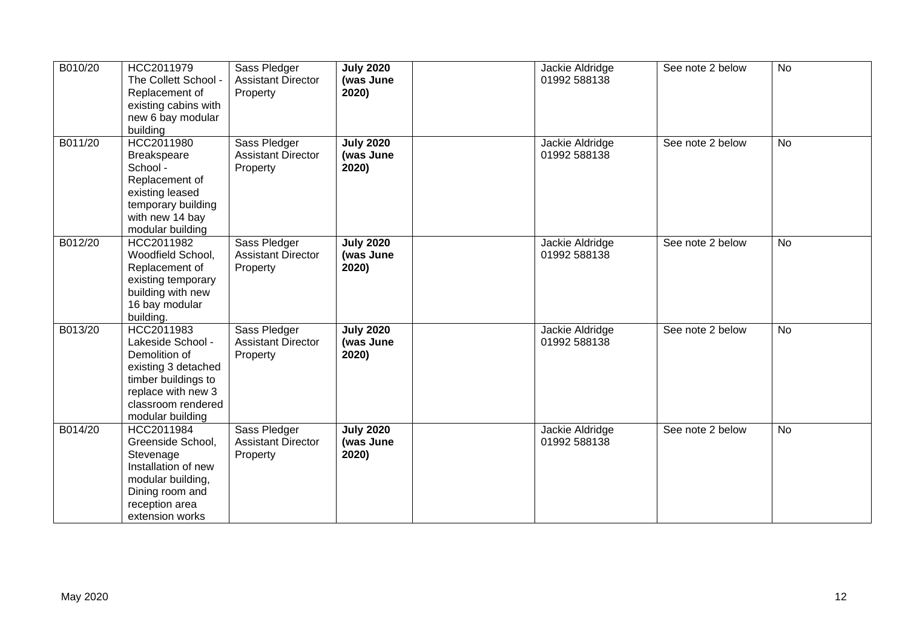| B010/20 | HCC2011979<br>The Collett School -<br>Replacement of<br>existing cabins with<br>new 6 bay modular<br>building                                                  | Sass Pledger<br><b>Assistant Director</b><br>Property | <b>July 2020</b><br>(was June<br>2020) | Jackie Aldridge<br>01992 588138 | See note 2 below | <b>No</b> |
|---------|----------------------------------------------------------------------------------------------------------------------------------------------------------------|-------------------------------------------------------|----------------------------------------|---------------------------------|------------------|-----------|
| B011/20 | HCC2011980<br><b>Breakspeare</b><br>School -<br>Replacement of<br>existing leased<br>temporary building<br>with new 14 bay<br>modular building                 | Sass Pledger<br><b>Assistant Director</b><br>Property | <b>July 2020</b><br>(was June<br>2020) | Jackie Aldridge<br>01992 588138 | See note 2 below | <b>No</b> |
| B012/20 | HCC2011982<br>Woodfield School,<br>Replacement of<br>existing temporary<br>building with new<br>16 bay modular<br>building.                                    | Sass Pledger<br><b>Assistant Director</b><br>Property | <b>July 2020</b><br>(was June<br>2020) | Jackie Aldridge<br>01992 588138 | See note 2 below | <b>No</b> |
| B013/20 | HCC2011983<br>Lakeside School -<br>Demolition of<br>existing 3 detached<br>timber buildings to<br>replace with new 3<br>classroom rendered<br>modular building | Sass Pledger<br><b>Assistant Director</b><br>Property | <b>July 2020</b><br>(was June<br>2020) | Jackie Aldridge<br>01992 588138 | See note 2 below | <b>No</b> |
| B014/20 | HCC2011984<br>Greenside School,<br>Stevenage<br>Installation of new<br>modular building,<br>Dining room and<br>reception area<br>extension works               | Sass Pledger<br><b>Assistant Director</b><br>Property | <b>July 2020</b><br>(was June<br>2020) | Jackie Aldridge<br>01992 588138 | See note 2 below | <b>No</b> |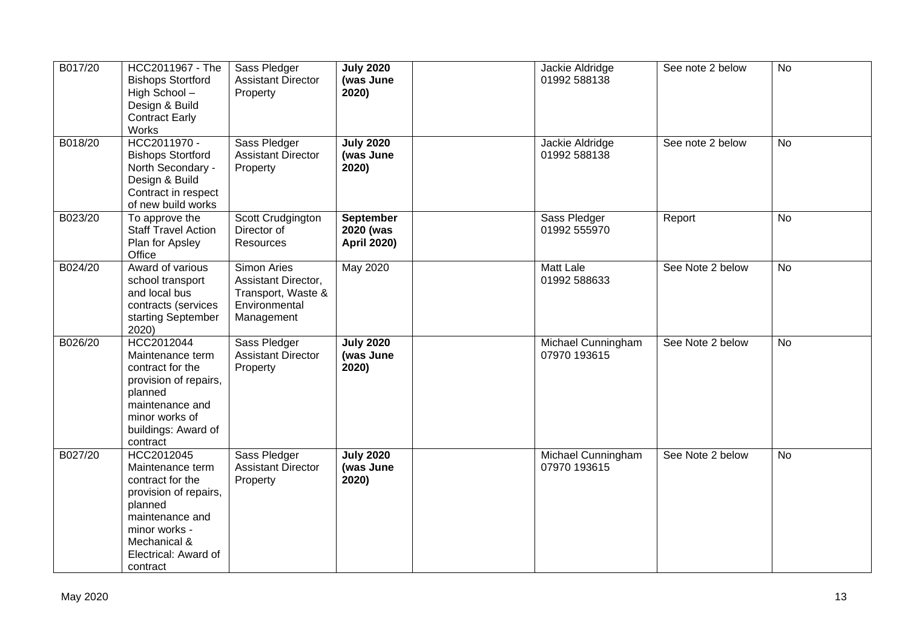| B017/20 | HCC2011967 - The<br><b>Bishops Stortford</b><br>High School-<br>Design & Build<br><b>Contract Early</b><br>Works                                                               | Sass Pledger<br><b>Assistant Director</b><br>Property                                   | <b>July 2020</b><br>(was June<br>2020)              | Jackie Aldridge<br>01992 588138    | See note 2 below | <b>No</b> |
|---------|--------------------------------------------------------------------------------------------------------------------------------------------------------------------------------|-----------------------------------------------------------------------------------------|-----------------------------------------------------|------------------------------------|------------------|-----------|
| B018/20 | HCC2011970 -<br><b>Bishops Stortford</b><br>North Secondary -<br>Design & Build<br>Contract in respect<br>of new build works                                                   | Sass Pledger<br><b>Assistant Director</b><br>Property                                   | <b>July 2020</b><br>(was June<br>2020)              | Jackie Aldridge<br>01992 588138    | See note 2 below | No        |
| B023/20 | To approve the<br><b>Staff Travel Action</b><br>Plan for Apsley<br>Office                                                                                                      | Scott Crudgington<br>Director of<br>Resources                                           | <b>September</b><br>2020 (was<br><b>April 2020)</b> | Sass Pledger<br>01992 555970       | Report           | <b>No</b> |
| B024/20 | Award of various<br>school transport<br>and local bus<br>contracts (services<br>starting September<br>2020)                                                                    | Simon Aries<br>Assistant Director,<br>Transport, Waste &<br>Environmental<br>Management | May 2020                                            | <b>Matt Lale</b><br>01992 588633   | See Note 2 below | <b>No</b> |
| B026/20 | HCC2012044<br>Maintenance term<br>contract for the<br>provision of repairs,<br>planned<br>maintenance and<br>minor works of<br>buildings: Award of<br>contract                 | Sass Pledger<br><b>Assistant Director</b><br>Property                                   | <b>July 2020</b><br>(was June<br>2020)              | Michael Cunningham<br>07970 193615 | See Note 2 below | <b>No</b> |
| B027/20 | HCC2012045<br>Maintenance term<br>contract for the<br>provision of repairs,<br>planned<br>maintenance and<br>minor works -<br>Mechanical &<br>Electrical: Award of<br>contract | Sass Pledger<br><b>Assistant Director</b><br>Property                                   | <b>July 2020</b><br>(was June<br>2020)              | Michael Cunningham<br>07970 193615 | See Note 2 below | <b>No</b> |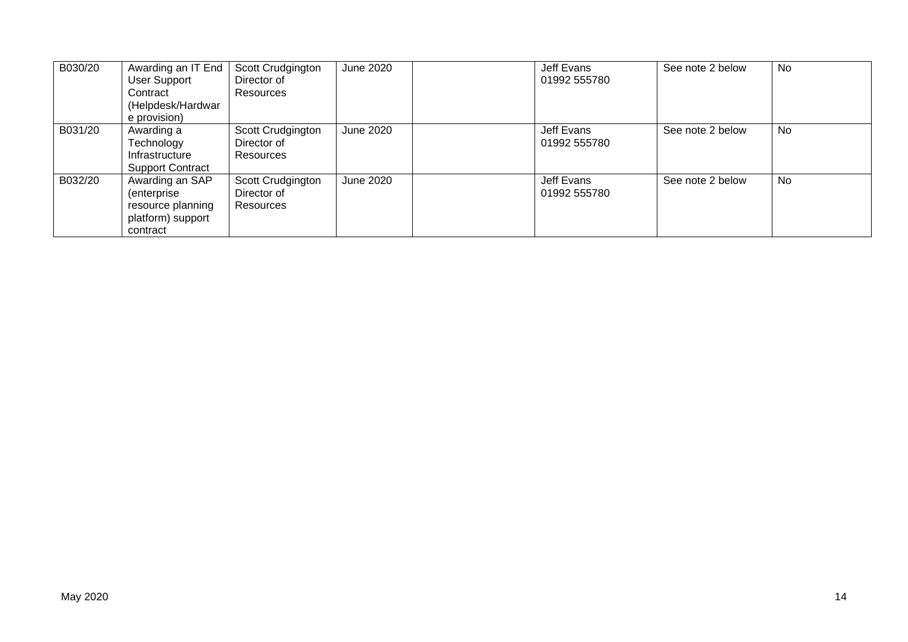| B030/20 | Awarding an IT End<br><b>User Support</b><br>Contract<br>(Helpdesk/Hardwar<br>e provision) | Scott Crudgington<br>Director of<br><b>Resources</b> | June 2020        | Jeff Evans<br>01992 555780 | See note 2 below | No |
|---------|--------------------------------------------------------------------------------------------|------------------------------------------------------|------------------|----------------------------|------------------|----|
| B031/20 | Awarding a<br>Technology<br>Infrastructure<br><b>Support Contract</b>                      | Scott Crudgington<br>Director of<br><b>Resources</b> | <b>June 2020</b> | Jeff Evans<br>01992 555780 | See note 2 below | No |
| B032/20 | Awarding an SAP<br>(enterprise)<br>resource planning<br>platform) support<br>contract      | Scott Crudgington<br>Director of<br>Resources        | June 2020        | Jeff Evans<br>01992 555780 | See note 2 below | No |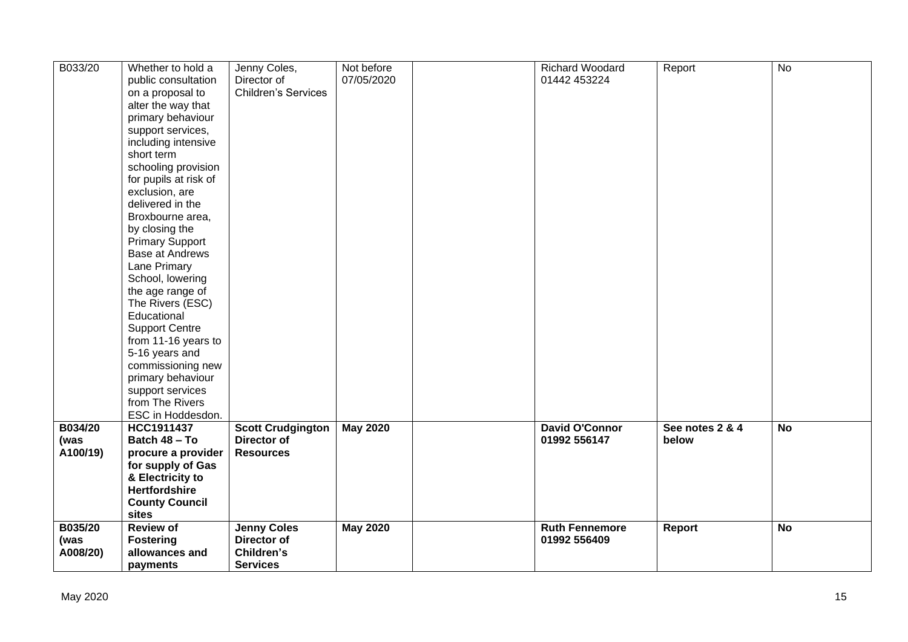| B033/20  | Whether to hold a      | Jenny Coles,               | Not before      | Richard Woodard       | Report          | <b>No</b> |
|----------|------------------------|----------------------------|-----------------|-----------------------|-----------------|-----------|
|          | public consultation    | Director of                | 07/05/2020      | 01442 453224          |                 |           |
|          | on a proposal to       | <b>Children's Services</b> |                 |                       |                 |           |
|          | alter the way that     |                            |                 |                       |                 |           |
|          | primary behaviour      |                            |                 |                       |                 |           |
|          | support services,      |                            |                 |                       |                 |           |
|          | including intensive    |                            |                 |                       |                 |           |
|          | short term             |                            |                 |                       |                 |           |
|          | schooling provision    |                            |                 |                       |                 |           |
|          |                        |                            |                 |                       |                 |           |
|          | for pupils at risk of  |                            |                 |                       |                 |           |
|          | exclusion, are         |                            |                 |                       |                 |           |
|          | delivered in the       |                            |                 |                       |                 |           |
|          | Broxbourne area,       |                            |                 |                       |                 |           |
|          | by closing the         |                            |                 |                       |                 |           |
|          | <b>Primary Support</b> |                            |                 |                       |                 |           |
|          | <b>Base at Andrews</b> |                            |                 |                       |                 |           |
|          | Lane Primary           |                            |                 |                       |                 |           |
|          | School, lowering       |                            |                 |                       |                 |           |
|          | the age range of       |                            |                 |                       |                 |           |
|          | The Rivers (ESC)       |                            |                 |                       |                 |           |
|          | Educational            |                            |                 |                       |                 |           |
|          | <b>Support Centre</b>  |                            |                 |                       |                 |           |
|          | from 11-16 years to    |                            |                 |                       |                 |           |
|          | 5-16 years and         |                            |                 |                       |                 |           |
|          | commissioning new      |                            |                 |                       |                 |           |
|          | primary behaviour      |                            |                 |                       |                 |           |
|          | support services       |                            |                 |                       |                 |           |
|          | from The Rivers        |                            |                 |                       |                 |           |
|          | ESC in Hoddesdon.      |                            |                 |                       |                 |           |
| B034/20  | HCC1911437             | <b>Scott Crudgington</b>   | <b>May 2020</b> | <b>David O'Connor</b> | See notes 2 & 4 | <b>No</b> |
| (was     | Batch 48 - To          | <b>Director of</b>         |                 | 01992 556147          | below           |           |
| A100/19) | procure a provider     | <b>Resources</b>           |                 |                       |                 |           |
|          | for supply of Gas      |                            |                 |                       |                 |           |
|          | & Electricity to       |                            |                 |                       |                 |           |
|          | <b>Hertfordshire</b>   |                            |                 |                       |                 |           |
|          | <b>County Council</b>  |                            |                 |                       |                 |           |
|          | sites                  |                            |                 |                       |                 |           |
| B035/20  | <b>Review of</b>       | <b>Jenny Coles</b>         | <b>May 2020</b> | <b>Ruth Fennemore</b> | Report          | <b>No</b> |
| (was     | <b>Fostering</b>       | Director of                |                 | 01992 556409          |                 |           |
| A008/20) | allowances and         | Children's                 |                 |                       |                 |           |
|          | payments               | <b>Services</b>            |                 |                       |                 |           |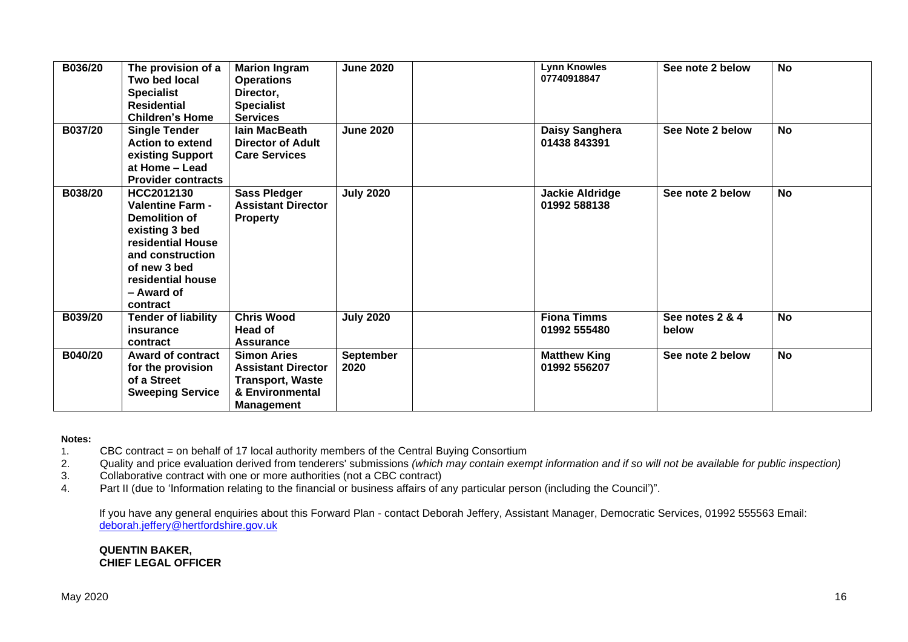| B036/20 | The provision of a<br>Two bed local<br><b>Specialist</b><br><b>Residential</b><br><b>Children's Home</b>                                                                         | <b>Marion Ingram</b><br><b>Operations</b><br>Director,<br><b>Specialist</b><br><b>Services</b>                     | <b>June 2020</b>         | <b>Lynn Knowles</b><br>07740918847     | See note 2 below         | <b>No</b> |
|---------|----------------------------------------------------------------------------------------------------------------------------------------------------------------------------------|--------------------------------------------------------------------------------------------------------------------|--------------------------|----------------------------------------|--------------------------|-----------|
| B037/20 | <b>Single Tender</b><br><b>Action to extend</b><br>existing Support<br>at Home - Lead<br><b>Provider contracts</b>                                                               | lain MacBeath<br><b>Director of Adult</b><br><b>Care Services</b>                                                  | <b>June 2020</b>         | Daisy Sanghera<br>01438 843391         | See Note 2 below         | <b>No</b> |
| B038/20 | HCC2012130<br><b>Valentine Farm -</b><br>Demolition of<br>existing 3 bed<br>residential House<br>and construction<br>of new 3 bed<br>residential house<br>- Award of<br>contract | <b>Sass Pledger</b><br><b>Assistant Director</b><br><b>Property</b>                                                | <b>July 2020</b>         | <b>Jackie Aldridge</b><br>01992 588138 | See note 2 below         | <b>No</b> |
| B039/20 | <b>Tender of liability</b><br>insurance<br>contract                                                                                                                              | <b>Chris Wood</b><br>Head of<br><b>Assurance</b>                                                                   | <b>July 2020</b>         | <b>Fiona Timms</b><br>01992 555480     | See notes 2 & 4<br>below | <b>No</b> |
| B040/20 | <b>Award of contract</b><br>for the provision<br>of a Street<br><b>Sweeping Service</b>                                                                                          | <b>Simon Aries</b><br><b>Assistant Director</b><br><b>Transport, Waste</b><br>& Environmental<br><b>Management</b> | <b>September</b><br>2020 | <b>Matthew King</b><br>01992 556207    | See note 2 below         | <b>No</b> |

#### **Notes:**

- 1. CBC contract = on behalf of 17 local authority members of the Central Buying Consortium
- 2. Quality and price evaluation derived from tenderers' submissions *(which may contain exempt information and if so will not be available for public inspection)*
- 3. Collaborative contract with one or more authorities (not a CBC contract)
- 4. Part II (due to 'Information relating to the financial or business affairs of any particular person (including the Council')".

If you have any general enquiries about this Forward Plan - contact Deborah Jeffery, Assistant Manager, Democratic Services, 01992 555563 Email: [deborah.jeffery@hertfordshire.gov.uk](mailto:deborah.jeffery@hertfordshire.gov.uk) 

**QUENTIN BAKER, CHIEF LEGAL OFFICER**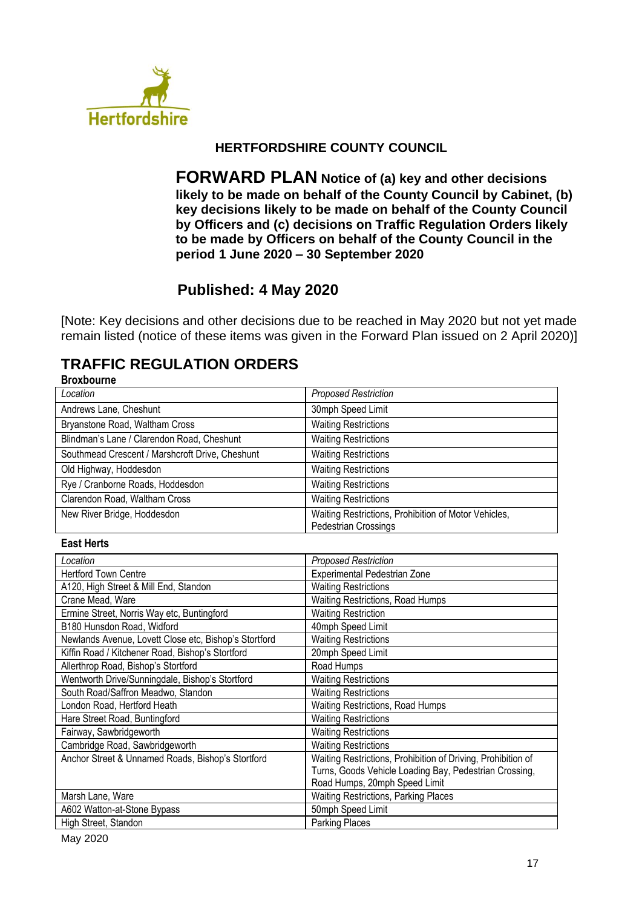

## **HERTFORDSHIRE COUNTY COUNCIL**

**FORWARD PLAN Notice of (a) key and other decisions likely to be made on behalf of the County Council by Cabinet, (b) key decisions likely to be made on behalf of the County Council by Officers and (c) decisions on Traffic Regulation Orders likely to be made by Officers on behalf of the County Council in the period 1 June 2020 – 30 September 2020**

# **Published: 4 May 2020**

[Note: Key decisions and other decisions due to be reached in May 2020 but not yet made remain listed (notice of these items was given in the Forward Plan issued on 2 April 2020)]

#### **TRAFFIC REGULATION ORDERS Broxbourne**

| DIUXUUUIIIE                                           |                                                                              |
|-------------------------------------------------------|------------------------------------------------------------------------------|
| Location                                              | <b>Proposed Restriction</b>                                                  |
| Andrews Lane, Cheshunt                                | 30mph Speed Limit                                                            |
| Bryanstone Road, Waltham Cross                        | <b>Waiting Restrictions</b>                                                  |
| Blindman's Lane / Clarendon Road, Cheshunt            | <b>Waiting Restrictions</b>                                                  |
| Southmead Crescent / Marshcroft Drive, Cheshunt       | <b>Waiting Restrictions</b>                                                  |
| Old Highway, Hoddesdon                                | <b>Waiting Restrictions</b>                                                  |
| Rye / Cranborne Roads, Hoddesdon                      | <b>Waiting Restrictions</b>                                                  |
| Clarendon Road, Waltham Cross                         | <b>Waiting Restrictions</b>                                                  |
| New River Bridge, Hoddesdon                           | Waiting Restrictions, Prohibition of Motor Vehicles,<br>Pedestrian Crossings |
| <b>East Herts</b>                                     |                                                                              |
|                                                       |                                                                              |
| Location                                              | <b>Proposed Restriction</b>                                                  |
| <b>Hertford Town Centre</b>                           | <b>Experimental Pedestrian Zone</b>                                          |
| A120, High Street & Mill End, Standon                 | <b>Waiting Restrictions</b>                                                  |
| Crane Mead, Ware                                      | Waiting Restrictions, Road Humps                                             |
| Ermine Street, Norris Way etc, Buntingford            | <b>Waiting Restriction</b>                                                   |
| B180 Hunsdon Road, Widford                            | 40mph Speed Limit                                                            |
| Newlands Avenue, Lovett Close etc, Bishop's Stortford | <b>Waiting Restrictions</b>                                                  |
| Kiffin Road / Kitchener Road, Bishop's Stortford      | 20mph Speed Limit                                                            |
| Allerthrop Road, Bishop's Stortford                   | Road Humps                                                                   |
| Wentworth Drive/Sunningdale, Bishop's Stortford       | <b>Waiting Restrictions</b>                                                  |
| South Road/Saffron Meadwo, Standon                    | <b>Waiting Restrictions</b>                                                  |
| London Road, Hertford Heath                           | Waiting Restrictions, Road Humps                                             |
| Hare Street Road, Buntingford                         | <b>Waiting Restrictions</b>                                                  |
| Fairway, Sawbridgeworth                               | <b>Waiting Restrictions</b>                                                  |
| Cambridge Road, Sawbridgeworth                        | <b>Waiting Restrictions</b>                                                  |
| Anchor Street & Unnamed Roads, Bishop's Stortford     | Waiting Restrictions, Prohibition of Driving, Prohibition of                 |
|                                                       | Turns, Goods Vehicle Loading Bay, Pedestrian Crossing,                       |
|                                                       | Road Humps, 20mph Speed Limit                                                |
| Marsh Lane, Ware                                      | Waiting Restrictions, Parking Places                                         |
| A602 Watton-at-Stone Bypass                           | 50mph Speed Limit                                                            |
| High Street, Standon                                  | <b>Parking Places</b>                                                        |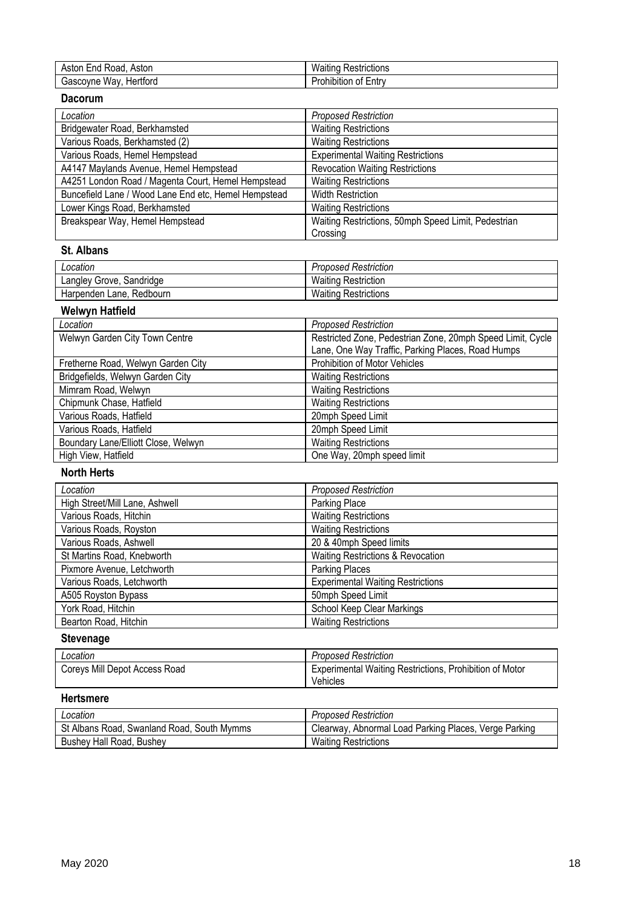| $\overline{\phantom{0}}$<br>Astor<br>Road<br>٠n۵<br>$\Lambda$ CT<br>™on<br>וכר | . .<br>-<br>∢estrictions<br>W.<br>-----<br>∗•⊿ەر<br>'allll |
|--------------------------------------------------------------------------------|------------------------------------------------------------|
| wav<br>Hertford<br>ົ∩∨ne v.<br>Gasco:                                          | --<br><br>.<br><br>Entry<br>rohibition<br>0T<br>-          |

#### **Dacorum**

| Location                                             | <b>Proposed Restriction</b>                         |
|------------------------------------------------------|-----------------------------------------------------|
| Bridgewater Road, Berkhamsted                        | <b>Waiting Restrictions</b>                         |
| Various Roads, Berkhamsted (2)                       | <b>Waiting Restrictions</b>                         |
| Various Roads, Hemel Hempstead                       | <b>Experimental Waiting Restrictions</b>            |
| A4147 Maylands Avenue, Hemel Hempstead               | <b>Revocation Waiting Restrictions</b>              |
| A4251 London Road / Magenta Court, Hemel Hempstead   | <b>Waiting Restrictions</b>                         |
| Buncefield Lane / Wood Lane End etc, Hemel Hempstead | <b>Width Restriction</b>                            |
| Lower Kings Road, Berkhamsted                        | <b>Waiting Restrictions</b>                         |
| Breakspear Way, Hemel Hempstead                      | Waiting Restrictions, 50mph Speed Limit, Pedestrian |
|                                                      | Crossing                                            |

## **St. Albans**

| Location                    | <b>Proposed Restriction</b> |
|-----------------------------|-----------------------------|
| Langley Grove, Sandridge    | <b>Waiting Restriction</b>  |
| Redbourn<br>Harpenden Lane, | <b>Waiting Restrictions</b> |

#### **Welwyn Hatfield**

| Location                            | <b>Proposed Restriction</b>                                |
|-------------------------------------|------------------------------------------------------------|
| Welwyn Garden City Town Centre      | Restricted Zone, Pedestrian Zone, 20mph Speed Limit, Cycle |
|                                     | Lane, One Way Traffic, Parking Places, Road Humps          |
| Fretherne Road, Welwyn Garden City  | Prohibition of Motor Vehicles                              |
| Bridgefields, Welwyn Garden City    | <b>Waiting Restrictions</b>                                |
| Mimram Road, Welwyn                 | <b>Waiting Restrictions</b>                                |
| Chipmunk Chase, Hatfield            | <b>Waiting Restrictions</b>                                |
| Various Roads, Hatfield             | 20mph Speed Limit                                          |
| Various Roads, Hatfield             | 20mph Speed Limit                                          |
| Boundary Lane/Elliott Close, Welwyn | <b>Waiting Restrictions</b>                                |
| High View, Hatfield                 | One Way, 20mph speed limit                                 |

## **North Herts**

| Location                       | <b>Proposed Restriction</b>              |
|--------------------------------|------------------------------------------|
| High Street/Mill Lane, Ashwell | Parking Place                            |
| Various Roads, Hitchin         | <b>Waiting Restrictions</b>              |
| Various Roads, Royston         | <b>Waiting Restrictions</b>              |
| Various Roads, Ashwell         | 20 & 40mph Speed limits                  |
| St Martins Road, Knebworth     | Waiting Restrictions & Revocation        |
| Pixmore Avenue, Letchworth     | <b>Parking Places</b>                    |
| Various Roads, Letchworth      | <b>Experimental Waiting Restrictions</b> |
| A505 Royston Bypass            | 50mph Speed Limit                        |
| York Road, Hitchin             | School Keep Clear Markings               |
| Bearton Road, Hitchin          | <b>Waiting Restrictions</b>              |

# **Stevenage**

| Location                      | <b>Proposed Restriction</b>                                                |
|-------------------------------|----------------------------------------------------------------------------|
| Coreys Mill Depot Access Road | <b>Experimental Waiting Restrictions, Prohibition of Motor</b><br>Vehicles |

## **Hertsmere**

| ∟ocation                                   | <b>Proposed Restriction</b>                           |
|--------------------------------------------|-------------------------------------------------------|
| St Albans Road, Swanland Road, South Mymms | Clearway, Abnormal Load Parking Places, Verge Parking |
| Bushey Hall Road, Bushey                   | <b>Waiting Restrictions</b>                           |